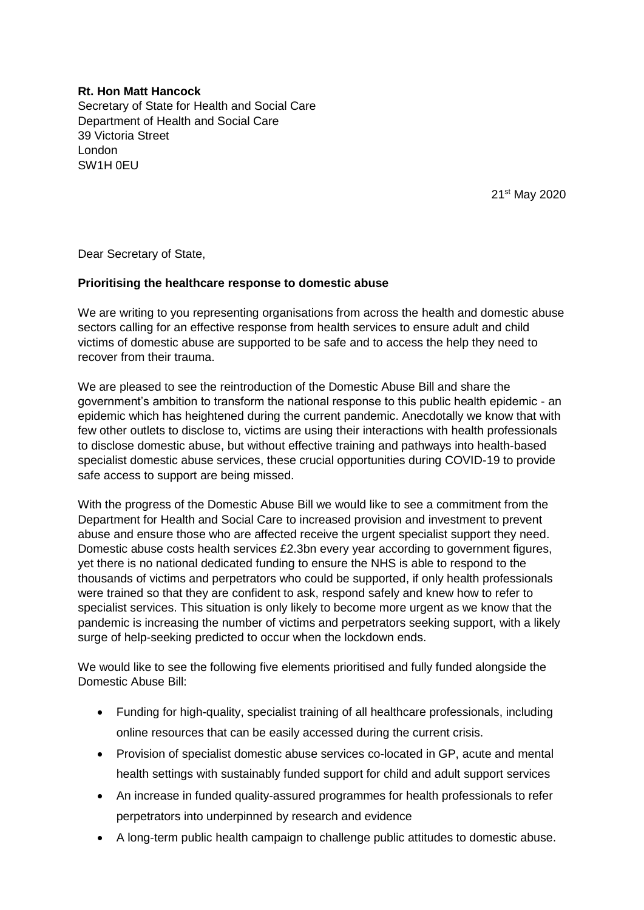## **Rt. Hon Matt Hancock**

Secretary of State for Health and Social Care Department of Health and Social Care 39 Victoria Street London SW1H 0EU

21<sup>st</sup> May 2020

Dear Secretary of State,

## **Prioritising the healthcare response to domestic abuse**

We are writing to you representing organisations from across the health and domestic abuse sectors calling for an effective response from health services to ensure adult and child victims of domestic abuse are supported to be safe and to access the help they need to recover from their trauma.

We are pleased to see the reintroduction of the Domestic Abuse Bill and share the government's ambition to transform the national response to this public health epidemic - an epidemic which has heightened during the current pandemic. Anecdotally we know that with few other outlets to disclose to, victims are using their interactions with health professionals to disclose domestic abuse, but without effective training and pathways into health-based specialist domestic abuse services, these crucial opportunities during COVID-19 to provide safe access to support are being missed.

With the progress of the Domestic Abuse Bill we would like to see a commitment from the Department for Health and Social Care to increased provision and investment to prevent abuse and ensure those who are affected receive the urgent specialist support they need. Domestic abuse costs health services £2.3bn every year according to government figures, yet there is no national dedicated funding to ensure the NHS is able to respond to the thousands of victims and perpetrators who could be supported, if only health professionals were trained so that they are confident to ask, respond safely and knew how to refer to specialist services. This situation is only likely to become more urgent as we know that the pandemic is increasing the number of victims and perpetrators seeking support, with a likely surge of help-seeking predicted to occur when the lockdown ends.

We would like to see the following five elements prioritised and fully funded alongside the Domestic Abuse Bill:

- Funding for high-quality, specialist training of all healthcare professionals, including online resources that can be easily accessed during the current crisis.
- Provision of specialist domestic abuse services co-located in GP, acute and mental health settings with sustainably funded support for child and adult support services
- An increase in funded quality-assured programmes for health professionals to refer perpetrators into underpinned by research and evidence
- A long-term public health campaign to challenge public attitudes to domestic abuse.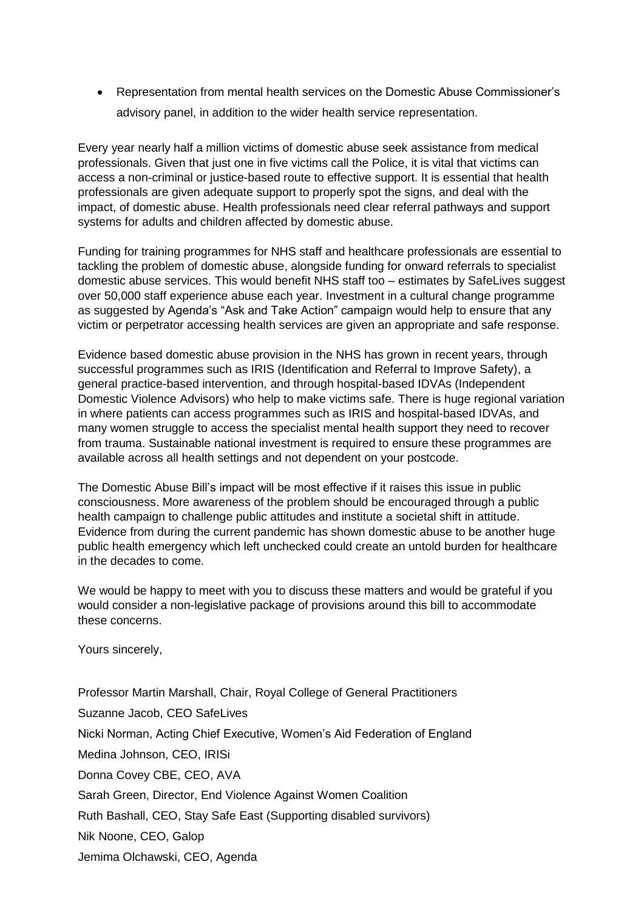• Representation from mental health services on the Domestic Abuse Commissioner's advisory panel, in addition to the wider health service representation.

Every year nearly half a million victims of domestic abuse seek assistance from medical professionals. Given that just one in five victims call the Police, it is vital that victims can access a non-criminal or justice-based route to effective support. It is essential that health professionals are given adequate support to properly spot the signs, and deal with the impact, of domestic abuse. Health professionals need clear referral pathways and support systems for adults and children affected by domestic abuse.

Funding for training programmes for NHS staff and healthcare professionals are essential to tackling the problem of domestic abuse, alongside funding for onward referrals to specialist domestic abuse services. This would benefit NHS staff too – estimates by SafeLives suggest over 50,000 staff experience abuse each year. Investment in a cultural change programme as suggested by Agenda's "Ask and Take Action" campaign would help to ensure that any victim or perpetrator accessing health services are given an appropriate and safe response.

Evidence based domestic abuse provision in the NHS has grown in recent years, through successful programmes such as IRIS (Identification and Referral to Improve Safety), a general practice-based intervention, and through hospital-based IDVAs (Independent Domestic Violence Advisors) who help to make victims safe. There is huge regional variation in where patients can access programmes such as IRIS and hospital-based IDVAs, and many women struggle to access the specialist mental health support they need to recover from trauma. Sustainable national investment is required to ensure these programmes are available across all health settings and not dependent on your postcode.

The Domestic Abuse Bill's impact will be most effective if it raises this issue in public consciousness. More awareness of the problem should be encouraged through a public health campaign to challenge public attitudes and institute a societal shift in attitude. Evidence from during the current pandemic has shown domestic abuse to be another huge public health emergency which left unchecked could create an untold burden for healthcare in the decades to come.

We would be happy to meet with you to discuss these matters and would be grateful if you would consider a non-legislative package of provisions around this bill to accommodate these concerns.

Yours sincerely,

Professor Martin Marshall, Chair, Royal College of General Practitioners Suzanne Jacob, CEO SafeLives Nicki Norman, Acting Chief Executive, Women's Aid Federation of England Medina Johnson, CEO, IRISi Donna Covey CBE, CEO, AVA Sarah Green, Director, End Violence Against Women Coalition Ruth Bashall, CEO, Stay Safe East (Supporting disabled survivors) Nik Noone, CEO, Galop Jemima Olchawski, CEO, Agenda